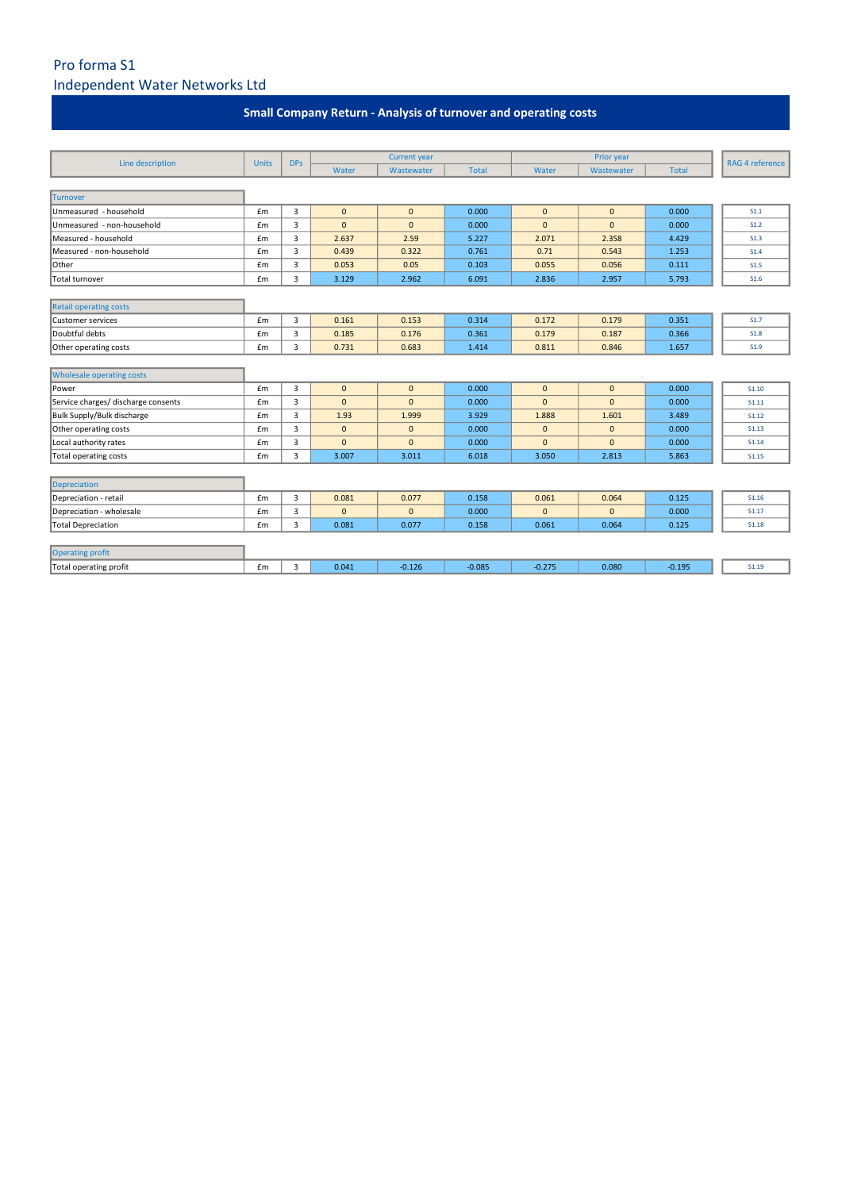## Pro forma S1 Independent Water Networks Ltd

| Line description                    |              | <b>DPs</b> | <b>Current year</b> |              |              |              |                          |              |                 |
|-------------------------------------|--------------|------------|---------------------|--------------|--------------|--------------|--------------------------|--------------|-----------------|
|                                     | <b>Units</b> |            | Water               | Wastewater   | <b>Total</b> | Water        | Prior year<br>Wastewater | <b>Total</b> | RAG 4 reference |
|                                     |              |            |                     |              |              |              |                          |              |                 |
| <b>Turnover</b>                     |              |            |                     |              |              |              |                          |              |                 |
| Unmeasured - household              | £m           | 3          | $\mathbf{0}$        | $\mathbf{0}$ | 0.000        | $\mathbf{0}$ | $\mathbf{0}$             | 0.000        | S1.1            |
| Unmeasured - non-household          | £m           | 3          | $\mathbf{0}$        | $\mathbf{0}$ | 0.000        | $\mathbf{0}$ | $\mathbf{0}$             | 0.000        | S1.2            |
| Measured - household                | £m           | 3          | 2.637               | 2.59         | 5.227        | 2.071        | 2.358                    | 4.429        | S1.3            |
| Measured - non-household            | £m           | 3          | 0.439               | 0.322        | 0.761        | 0.71         | 0.543                    | 1.253        | <b>S1.4</b>     |
| Other                               | £m           | 3          | 0.053               | 0.05         | 0.103        | 0.055        | 0.056                    | 0.111        | S1.5            |
| Total turnover                      | £m           | 3          | 3.129               | 2.962        | 6.091        | 2.836        | 2.957                    | 5.793        | S1.6            |
|                                     |              |            |                     |              |              |              |                          |              |                 |
| <b>Retail operating costs</b>       |              |            |                     |              |              |              |                          |              |                 |
| <b>Customer services</b>            | £m           | 3          | 0.161               | 0.153        | 0.314        | 0.172        | 0.179                    | 0.351        | <b>S1.7</b>     |
| Doubtful debts                      | £m           | 3          | 0.185               | 0.176        | 0.361        | 0.179        | 0.187                    | 0.366        | <b>S1.8</b>     |
| Other operating costs               | £m           | 3          | 0.731               | 0.683        | 1.414        | 0.811        | 0.846                    | 1.657        | <b>S1.9</b>     |
|                                     |              |            |                     |              |              |              |                          |              |                 |
| <b>Wholesale operating costs</b>    |              |            |                     |              |              |              |                          |              |                 |
| Power                               | £m           | 3          | $\mathbf{0}$        | $\mathbf{0}$ | 0.000        | $\mathbf{0}$ | $\mathbf{0}$             | 0.000        | S1.10           |
| Service charges/ discharge consents | £m           | 3          | $\mathbf{0}$        | $\mathbf{0}$ | 0.000        | $\mathbf{0}$ | $\mathbf{0}$             | 0.000        | S1.11           |
| Bulk Supply/Bulk discharge          | £m           | 3          | 1.93                | 1.999        | 3.929        | 1.888        | 1.601                    | 3.489        | S1.12           |
| Other operating costs               | £m           | 3          | $\mathbf 0$         | $\mathbf{0}$ | 0.000        | $\mathbf 0$  | $\mathbf{0}$             | 0.000        | <b>S1.13</b>    |
| Local authority rates               | £m           | 3          | $\mathbf{0}$        | $\mathbf{0}$ | 0.000        | $\mathbf{0}$ | $\mathbf{0}$             | 0.000        | S1.14           |
| Total operating costs               | £m           | 3          | 3.007               | 3.011        | 6.018        | 3.050        | 2.813                    | 5.863        | S1.15           |
|                                     |              |            |                     |              |              |              |                          |              |                 |
| Depreciation                        |              |            |                     |              |              |              |                          |              |                 |
| Depreciation - retail               | £m           | 3          | 0.081               | 0.077        | 0.158        | 0.061        | 0.064                    | 0.125        | S1.16           |
| Depreciation - wholesale            | £m           | 3          | $\mathbf{0}$        | $\mathbf{0}$ | 0.000        | $\mathbf{0}$ | $\mathbf{0}$             | 0.000        | S1.17           |
| Total Depreciation                  | £m           | 3          | 0.081               | 0.077        | 0.158        | 0.061        | 0.064                    | 0.125        | <b>S1.18</b>    |
|                                     |              |            |                     |              |              |              |                          |              |                 |
| Operating profit                    |              |            |                     |              |              |              |                          |              |                 |
| Total operating profit              | £m           | 3          | 0.041               | $-0.126$     | $-0.085$     | $-0.275$     | 0.080                    | $-0.195$     | S1.19           |

| <b>Small Company Return - Analysis of turnover and operating costs</b> |  |  |
|------------------------------------------------------------------------|--|--|
|------------------------------------------------------------------------|--|--|